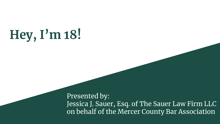# **Hey, I'm 18!**

Presented by: Jessica J. Sauer, Esq. of The Sauer Law Firm LLC on behalf of the Mercer County Bar Association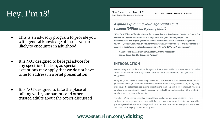# Hey, I'm 18!

- This is an advisory program to provide you with general knowledge of issues you are likely to encounter in adulthood.
- It is NOT designed to be legal advice for any specific situation, as special exceptions may apply that we do not have time to address in a brief presentation
- It is NOT designed to take the place of talking with your parents and other trusted adults about the topics discussed

The Sauer Law Firm LLC Estate Planning, Administration & Guardianship

About Practice Areas Resources v Contact

#### A guide explaining your legal rights and responsibilities as a young adult

"Hey, I'm 18!" is a public education project undertaken and developed by the Mercer County Bar Association to provide a reference for young adults to explain their legal rights and responsibilities. The project epitomizes the Bar Association's desire to educate the general public - especially young adults. The Mercer County Bar Association wishes to acknowledge the support of the following, without whose support "Hey, I'm 18!" would not be possible:

- Mercer County Prosecutor's Office Angelo J. Onofri, Prosecutor
- Jessica Sauer, Esg. The Sauer Law Firm LLC

#### **INTRODUCTION**

In New Jersey, the age of majority - the age at which the law considers you an adult - is 18. The law extends to persons 18 years of age and older certain "basic civil and contractual rights and obligations."

As a young adult, you now have the right to contract, sue, be sued and defend civil actions, obtain public employment, be granted a license for a business or profession, serve on a jury, marry, adopt children, participate in legalized gaming (except casino gambling), sell alcohol (although you can't purchase or consume it until you're 21), consent to medical treatment, execute a will, and inherit, purchase, mortgage and sell property.

"Hey, I'm 18!" is designed to explain many of these legal rights and responsibilities. It is not designed to be a legal opinion on any specific facts or circumstances, but it is intended to provide you with general information so that you will know to contact the appropriate agency or attorney with any specific legal questions you may have.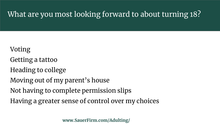What are you most looking forward to about turning 18?

Voting Getting a tattoo Heading to college Moving out of my parent's house Not having to complete permission slips Having a greater sense of control over my choices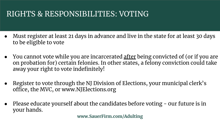#### RIGHTS & RESPONSIBILITIES: VOTING

- Must register at least 21 days in advance and live in the state for at least 30 days to be eligible to vote
- You cannot vote while you are incarcerated <u>after</u> being convicted of (or if you are on probation for) certain felonies. In other states, a felony conviction could take away your right to vote indefinitely!
- Register to vote through the NJ Division of Elections, your municipal clerk's office, the MVC, or www.NJElections.org
- Please educate yourself about the candidates before voting our future is in your hands.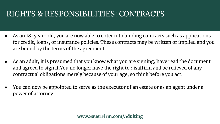#### RIGHTS & RESPONSIBILITIES: CONTRACTS

- As an 18-year-old, you are now able to enter into binding contracts such as applications for credit, loans, or insurance policies. These contracts may be written or implied and you are bound by the terms of the agreement.
- As an adult, it is presumed that you know what you are signing, have read the document and agreed to sign it.You no longer have the right to disaffirm and be relieved of any contractual obligations merely because of your age, so think before you act.
- You can now be appointed to serve as the executor of an estate or as an agent under a power of attorney.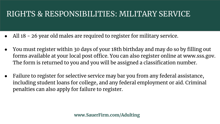#### RIGHTS & RESPONSIBILITIES: MILITARY SERVICE

- All 18 26 year old males are required to register for military service.
- You must register within 30 days of your 18th birthday and may do so by filling out forms available at your local post office. You can also register online at www.sss.gov. The form is returned to you and you will be assigned a classification number.
- Failure to register for selective service may bar you from any federal assistance, including student loans for college, and any federal employment or aid. Criminal penalties can also apply for failure to register.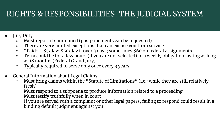#### RIGHTS & RESPONSIBILITIES: THE JUDICIAL SYSTEM

#### **Jury Duty**

- Must report if summoned (postponements can be requested)
- There are very limited exceptions that can excuse you from service
- "Paid" \$5/day; \$50/day if over 3 days; sometimes \$60 on federal assignments
- Term could be for a few hours (if you are not selected) to a weekly obligation lasting as long as 18 months (Federal Grand Jury)
- Typically required to serve only once every 3 years
- General Information about Legal Claims:
	- Must bring claims within the "Statute of Limitations" (i.e.: while they are still relatively fresh)
	- Must respond to a subpoena to produce information related to a proceeding
	- Must testify truthfully when in court
	- If you are served with a complaint or other legal papers, failing to respond could result in a binding default judgment against you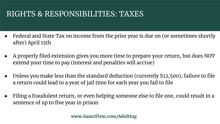#### RIGHTS & RESPONSIBILITIES: TAXES

- Federal and State Tax on income from the prior year is due on (or sometimes shortly after) April 15th
- A properly filed extension gives you more time to prepare your return, but does NOT extend your time to pay (interest and penalties will accrue)
- Unless you make less than the standard deduction (currently \$12,500), failure to file a return could lead to a year of jail time for each year you fail to file
- Filing a fraudulent return, or even helping someone else to file one, could result in a sentence of up to five year in prison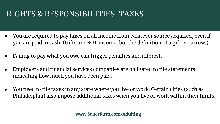#### RIGHTS & RESPONSIBILITIES: TAXES

- You are required to pay taxes on all income from whatever source acquired, even if you are paid in cash. (Gifts are NOT income, but the definition of a gift is narrow.)
- Failing to pay what you owe can trigger penalties and interest.
- Employers and financial services companies are obligated to file statements indicating how much you have been paid.
- You need to file taxes in any state where you live or work. Certain cities (such as Philadelphia) also impose additional taxes when you live or work within their limits.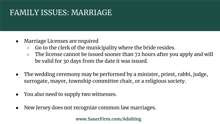### FAMILY ISSUES: MARRIAGE

- Marriage Licenses are required
	- $\circ$  Go to the clerk of the municipality where the bride resides.
	- The license cannot be issued sooner than 72 hours after you apply and will be valid for 30 days from the date it was issued.
- The wedding ceremony may be performed by a minister, priest, rabbi, judge, surrogate, mayor, township committee chair, or a religious society.
- You also need to supply two witnesses.
- New Jersey does not recognize common law marriages.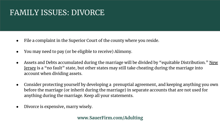### FAMILY ISSUES: DIVORCE

- File a complaint in the Superior Court of the county where you reside.
- You may need to pay (or be eligible to receive) Alimony.
- Assets and Debts accumulated during the marriage will be divided by "equitable Distribution." <u>New</u> Jersey is a "no fault" state, but other states may still take cheating during the marriage into account when dividing assets.
- Consider protecting yourself by developing a prenuptial agreement, and keeping anything you own before the marriage (or inherit during the marriage) in separate accounts that are not used for anything during the marriage. Keep all your statements.
- Divorce is expensive, marry wisely.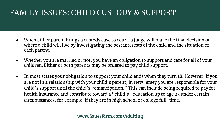# FAMILY ISSUES: CHILD CUSTODY & SUPPORT

- When either parent brings a custody case to court, a judge will make the final decision on where a child will live by investigating the best interests of the child and the situation of each parent.
- Whether you are married or not, you have an obligation to support and care for all of your children. Either or both parents may be ordered to pay child support.
- In most states your obligation to support your child ends when they turn 18. However, if you are not in a relationship with your child's parent, in New Jersey you are responsible for your child's support until the child's "emancipation." This can include being required to pay for health insurance and contribute toward a "child's" education up to age 23 under certain circumstances, for example, if they are in high school or college full-time.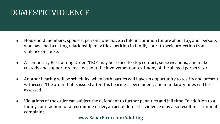### DOMESTIC VIOLENCE

- Household members, spouses, persons who have a child in common (or are about to), and persons who have had a dating relationship may file a petition in family court to seek protection from violence or abuse.
- A Temporary Restraining Order (TRO) may be issued to stop contact, seize weapons, and make custody and support orders - without the involvement or testimony of the alleged perpetrator.
- Another hearing will be scheduled when both parties will have an opportunity to testify and present witnesses. The order that is issued after this hearing is permanent, and mandatory fines will be assessed.
- Violations of the order can subject the defendant to further penalties and jail time. In addition to a family court action for a restraining order, an act of domestic violence may also result in a criminal complaint.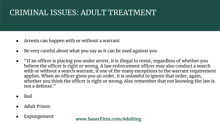# CRIMINAL ISSUES: ADULT TREATMENT

- Arrests can happen with or without a warrant
- Be very careful about what you say as it can be used against you
- "If an officer is placing you under arrest, it is illegal to resist, regardless of whether you believe the officer is right or wrong. A law enforcement officer may also conduct a search with or without a search warrant, if one of the many exceptions to the warrant requirement applies. When an officer gives you an order, it is unlawful to ignore that order, again, whether you think the officer is right or wrong. Also remember that not knowing the law is not a defense."
- Bail
- Adult Prison
- **Expungement**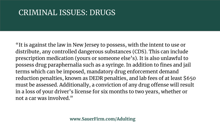#### CRIMINAL ISSUES: DRUGS

"It is against the law in New Jersey to possess, with the intent to use or distribute, any controlled dangerous substances (CDS). This can include prescription medication (yours or someone else's). It is also unlawful to possess drug paraphernalia such as a syringe. In addition to fines and jail terms which can be imposed, mandatory drug enforcement demand reduction penalties, known as DEDR penalties, and lab fees of at least \$650 must be assessed. Additionally, a conviction of any drug offense will result in a loss of your driver's license for six months to two years, whether or not a car was involved."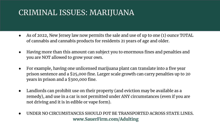# CRIMINAL ISSUES: MARIJUANA

- As of 2022, New Jersey law now permits the sale and use of up to one (1) ounce TOTAL of cannabis and cannabis products for residents 21 years of age and older.
- Having more than this amount can subject you to enormous fines and penalties and you are NOT allowed to grow your own.
- For example, having one unlicensed marijuana plant can translate into a five year prison sentence and a \$25,000 fine. Larger scale growth can carry penalties up to 20 years in prison and a \$300,000 fine.
- Landlords can prohibit use on their property (and eviction may be available as a remedy), and use in a car is not permitted under ANY circumstances (even if you are not driving and it is in edible or vape form).
- UNDER NO CIRCUMSTANCES SHOULD POT BE TRANSPORTED ACROSS STATE LINES. **www.SauerFirm.com/Adulting**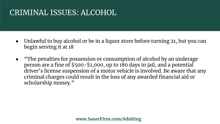### CRIMINAL ISSUES: ALCOHOL

- Unlawful to buy alcohol or be in a liquor store before turning 21, but you can begin serving it at 18
- "The penalties for possession or consumption of alcohol by an underage person are a fine of \$500-\$1,000, up to 180 days in jail, and a potential driver's license suspension of a motor vehicle is involved. Be aware that any criminal charges could result in the loss of any awarded financial aid or scholarship money."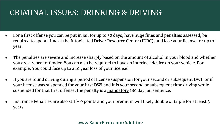# CRIMINAL ISSUES: DRINKING & DRIVING

- For a first offense you can be put in jail for up to 30 days, have huge fines and penalties assessed, be required to spend time at the Intoxicated Driver Resource Center (IDRC), and lose your license for up to 1 year.
- The penalties are severe and increase sharply based on the amount of alcohol in your blood and whether you are a repeat offender. You can also be required to have an interlock device on your vehicle. For example: You could face up to a 10 year loss of your license!
- If you are found driving during a period of license suspension for your second or subsequent DWI, or if your license was suspended for your first DWI and it is your second or subsequent time driving while suspended for that first offense, the penalty is a mandatory 180 day jail sentence.
- Insurance Penalties are also stiff- 9 points and your premium will likely double or triple for at least 3 years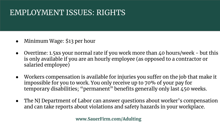### EMPLOYMENT ISSUES: RIGHTS

- Minimum Wage: \$13 per hour
- Overtime: 1.5xs your normal rate if you work more than 40 hours/week but this is only available if you are an hourly employee (as opposed to a contractor or salaried employee)
- Workers compensation is available for injuries you suffer on the job that make it impossible for you to work. You only receive up to 70% of your pay for temporary disabilities; "permanent" benefits generally only last 450 weeks.
- The NJ Department of Labor can answer questions about worker's compensation and can take reports about violations and safety hazards in your workplace.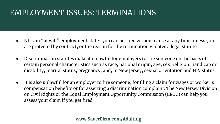### EMPLOYMENT ISSUES: TERMINATIONS

- NJ is an "at will" employment state: you can be fired without cause at any time unless you are protected by contract, or the reason for the termination violates a legal statute.
- Discrimination statutes make it unlawful for employers to fire someone on the basis of certain personal characteristics such as race, national origin, age, sex, religion, handicap or disability, marital status, pregnancy, and, in New Jersey, sexual orientation and HIV status.
- It is also unlawful for an employer to fire someone, for filing a claim for wages or worker's compensation benefits or for asserting a discrimination complaint. The New Jersey Division on Civil Rights or the Equal Employment Opportunity Commission (EEOC) can help you assess your claim if you get fired.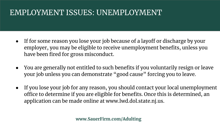### EMPLOYMENT ISSUES: UNEMPLOYMENT

- If for some reason you lose your job because of a layoff or discharge by your employer, you may be eligible to receive unemployment benefits, unless you have been fired for gross misconduct.
- You are generally not entitled to such benefits if you voluntarily resign or leave your job unless you can demonstrate "good cause" forcing you to leave.
- If you lose your job for any reason, you should contact your local unemployment office to determine if you are eligible for benefits. Once this is determined, an application can be made online at www.lwd.dol.state.nj.us.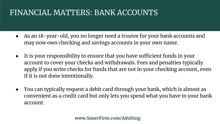### FINANCIAL MATTERS: BANK ACCOUNTS

- As an 18-year-old, you no longer need a trustee for your bank accounts and may now own checking and savings accounts in your own name.
- It is your responsibility to ensure that you have sufficient funds in your account to cover your checks and withdrawals. Fees and penalties typically apply if you write checks for funds that are not in your checking account, even if it is not done intentionally.
- You can typically request a debit card through your bank, which is almost as convenient as a credit card but only lets you spend what you have in your bank account.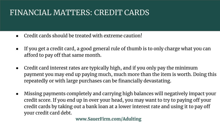# FINANCIAL MATTERS: CREDIT CARDS

- Credit cards should be treated with extreme caution!
- If you get a credit card, a good general rule of thumb is to only charge what you can afford to pay off that same month.
- Credit card interest rates are typically high, and if you only pay the minimum payment you may end up paying much, much more than the item is worth. Doing this repeatedly or with large purchases can be financially devastating.
- Missing payments completely and carrying high balances will negatively impact your credit score. If you end up in over your head, you may want to try to paying off your credit cards by taking out a bank loan at a lower interest rate and using it to pay off your credit card debt.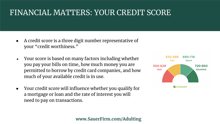### FINANCIAL MATTERS: YOUR CREDIT SCORE

- A credit score is a three digit number representative of your "credit worthiness."
- Your score is based on many factors including whether you pay your bills on time, how much money you are permitted to borrow by credit card companies, and how much of your available credit is in use.
- Your credit score will influence whether you qualify for a mortgage or loan and the rate of interest you will need to pay on transactions.

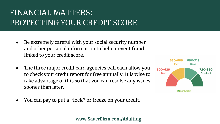# FINANCIAL MATTERS: PROTECTING YOUR CREDIT SCORE

- Be extremely careful with your social security number and other personal information to help prevent fraud linked to your credit score.
- The three major credit card agencies will each allow you to check your credit report for free annually. It is wise to take advantage of this so that you can resolve any issues sooner than later.
- You can pay to put a "lock" or freeze on your credit.

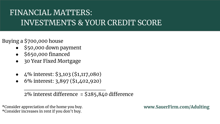# FINANCIAL MATTERS: INVESTMENTS & YOUR CREDIT SCORE

- Buying a \$700,000 house
	- \$50,000 down payment
	- \$650,000 financed
	- 30 Year Fixed Mortgage
	- $\bullet$  4% interest: \$3,103 (\$1,117,080)
	- 6% interest: 3,897 (\$1,402,920)

\_\_\_\_\_\_\_\_\_\_\_\_\_\_\_\_\_\_\_\_

2% interest difference = \$285,840 difference

\*Consider appreciation of the home you buy. \*Consider increases in rent if you don't buy.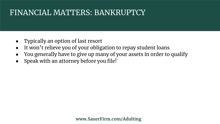### FINANCIAL MATTERS: BANKRUPTCY

- Typically an option of last resort
- It won't relieve you of your obligation to repay student loans
- You generally have to give up many of your assets in order to qualify
- Speak with an attorney before you file!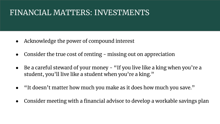# FINANCIAL MATTERS: INVESTMENTS

- Acknowledge the power of compound interest
- Consider the true cost of renting missing out on appreciation
- Be a careful steward of your money "If you live like a king when you're a student, you'll live like a student when you're a king."
- "It doesn't matter how much you make as it does how much you save."
- Consider meeting with a financial advisor to develop a workable savings plan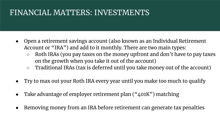# FINANCIAL MATTERS: INVESTMENTS

- Open a retirement savings account (also known as an Individual Retirement Account or "IRA") and add to it monthly. There are two main types:
	- Roth IRAs (you pay taxes on the money upfront and don't have to pay taxes on the growth when you take it out of the account)
	- Traditional IRAs (tax is deferred until you take money out of the account)
- Try to max out your Roth IRA every year until you make too much to qualify
- Take advantage of employer retirement plan (" $401K$ ") matching
- Removing money from an IRA before retirement can generate tax penalties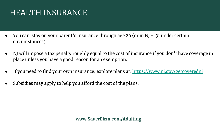### HEALTH INSURANCE

- You can stay on your parent's insurance through age 26 (or in NJ  $-$  31 under certain circumstances).
- NJ will impose a tax penalty roughly equal to the cost of insurance if you don't have coverage in place unless you have a good reason for an exemption.
- If you need to find your own insurance, explore plans at: <https://www.nj.gov/getcoverednj>
- Subsidies may apply to help you afford the cost of the plans.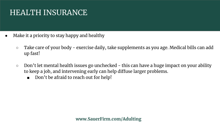### HEALTH INSURANCE

- Make it a priority to stay happy and healthy
	- Take care of your body exercise daily, take supplements as you age. Medical bills can add up fast!
	- Don't let mental health issues go unchecked this can have a huge impact on your ability to keep a job, and intervening early can help diffuse larger problems.
		- Don't be afraid to reach out for help!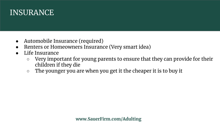### INSURANCE

- Automobile Insurance (required)
- Renters or Homeowners Insurance (Very smart idea)
- Life Insurance
	- Very important for young parents to ensure that they can provide for their children if they die
	- The younger you are when you get it the cheaper it is to buy it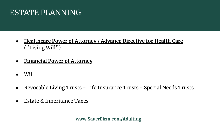#### ESTATE PLANNING

- **● Healthcare Power of Attorney / Advance Directive for Health Care**  ("Living Will")
- **● Financial Power of Attorney**
- Will
- Revocable Living Trusts Life Insurance Trusts Special Needs Trusts
- Estate & Inheritance Taxes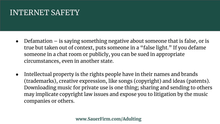#### INTERNET SAFETY

- Defamation  $-$  is saying something negative about someone that is false, or is true but taken out of context, puts someone in a "false light." If you defame someone in a chat room or publicly, you can be sued in appropriate circumstances, even in another state.
- Intellectual property is the rights people have in their names and brands (trademarks), creative expression, like songs (copyright) and ideas (patents). Downloading music for private use is one thing; sharing and sending to others may implicate copyright law issues and expose you to litigation by the music companies or others.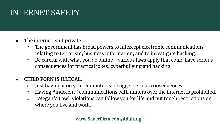#### INTERNET SAFETY

- The internet isn't private.
	- The government has broad powers to intercept electronic communications relating to terrorism, business information, and to investigate hacking.
	- Be careful with what you do online various laws apply that could have serious consequences for practical jokes, cyberbullying and hacking.

#### ● **CHILD PORN IS ILLEGAL**.

- Just having it on your computer can trigger serious consequences.
- Having "indecent" communications with minors over the internet is prohibited.
- "Megan's Law" violations can follow you for life and put tough restrictions on where you live and work.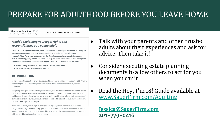### PREPARE FOR ADULTHOOD BEFORE YOU LEAVE HOME

The Sauer Law Firm LLC Estate Planning, Administration & Guardianship

About Practice Areas Resources  $\sim$  Contact

#### A quide explaining your legal rights and responsibilities as a young adult

"Hey, I'm 18!" is a public education project undertaken and developed by the Mercer County Bar Association to provide a reference for young adults to explain their legal rights and responsibilities. The project epitomizes the Bar Association's desire to educate the general public - especially young adults. The Mercer County Bar Association wishes to acknowledge the support of the following, without whose support "Hey, I'm 18!" would not be possible:

- · Mercer County Prosecutor's Office Angelo J. Onofri, Prosecutor
- Jessica Sauer, Esa. The Sauer Law Firm LLC

#### **INTRODUCTION**

In New Jersey, the age of majority - the age at which the law considers you an adult - is 18. The law extends to persons 18 years of age and older certain "basic civil and contractual rights and obligations."

As a young adult, you now have the right to contract, sue, be sued and defend civil actions, obtain public employment, be granted a license for a business or profession, serve on a jury, marry, adopt children, participate in legalized gaming (except casino gambling), sell alcohol (although you can't purchase or consume it until you're 21), consent to medical treatment, execute a will, and inherit, purchase, mortgage and sell property.

"Hey, I'm 18!" is designed to explain many of these legal rights and responsibilities. It is not designed to be a legal opinion on any specific facts or circumstances, but it is intended to provide you with general information so that you will know to contact the appropriate agency or attorney with any specific legal questions you may have.

- Talk with your parents and other trusted adults about their experiences and ask for advice. Then take it!
- Consider executing estate planning documents to allow others to act for you when you can't
- Read the Hey, I'm 18! Guide available at [www.SauerFirm.com/Adulting](http://www.sauerfirm.com/Adulting)

**[Jessica@SauerFirm.com](mailto:Jessica@SauerFirm.com) 201-779-0416**